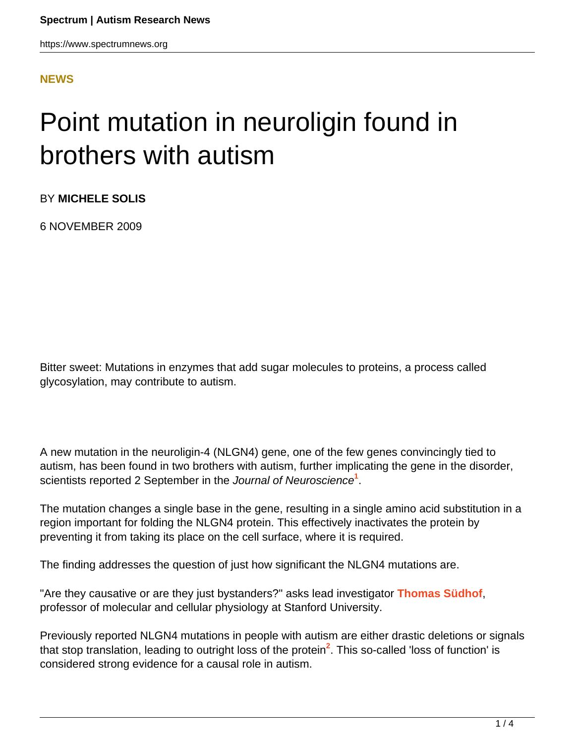https://www.spectrumnews.org

#### **[NEWS](HTTPS://WWW.SPECTRUMNEWS.ORG/NEWS/)**

# Point mutation in neuroligin found in brothers with autism

BY **MICHELE SOLIS**

6 NOVEMBER 2009

Bitter sweet: Mutations in enzymes that add sugar molecules to proteins, a process called glycosylation, may contribute to autism.

A new mutation in the neuroligin-4 (NLGN4) gene, one of the few genes convincingly tied to autism, has been found in two brothers with autism, further implicating the gene in the disorder, scientists reported 2 September in the Journal of Neuroscience**<sup>1</sup>** .

The mutation changes a single base in the gene, resulting in a single amino acid substitution in a region important for folding the NLGN4 protein. This effectively inactivates the protein by preventing it from taking its place on the cell surface, where it is required.

The finding addresses the question of just how significant the NLGN4 mutations are.

"Are they causative or are they just bystanders?" asks lead investigator **[Thomas Südhof](http://sfari.org/author/%3Fauthor%3Dhttps%253A//id.simonsfoundation.org/thomassudhof)**, professor of molecular and cellular physiology at Stanford University.

Previously reported NLGN4 mutations in people with autism are either drastic deletions or signals that stop translation, leading to outright loss of the protein<sup>2</sup>. This so-called 'loss of function' is considered strong evidence for a causal role in autism.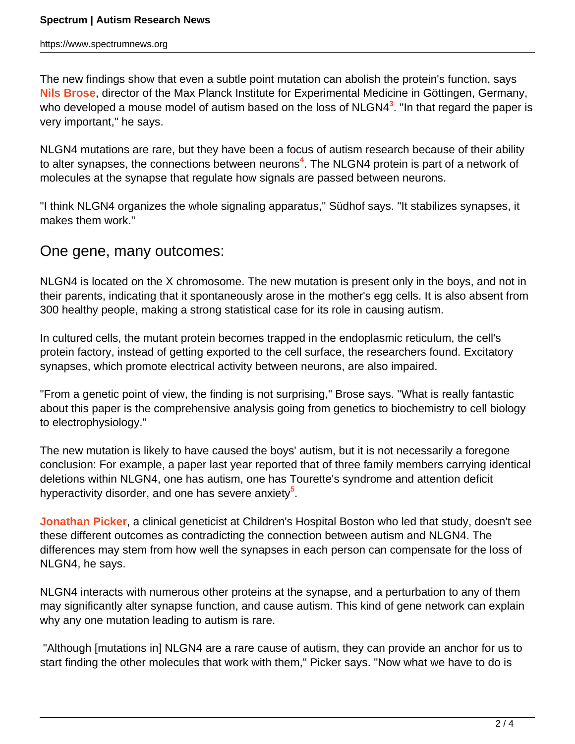The new findings show that even a subtle point mutation can abolish the protein's function, says **[Nils Brose](http://www.em.mpg.de/index.php?id=33&L=1&tx_jppageteaser_pi1[backId]=16)**, director of the Max Planck Institute for Experimental Medicine in Göttingen, Germany, who developed a mouse model of autism based on the loss of NLGN4**<sup>3</sup>** . "In that regard the paper is very important," he says.

NLGN4 mutations are rare, but they have been a focus of autism research because of their ability to alter synapses, the connections between neurons**<sup>4</sup>** . The NLGN4 protein is part of a network of molecules at the synapse that regulate how signals are passed between neurons.

"I think NLGN4 organizes the whole signaling apparatus," Südhof says. "It stabilizes synapses, it makes them work."

## One gene, many outcomes:

NLGN4 is located on the X chromosome. The new mutation is present only in the boys, and not in their parents, indicating that it spontaneously arose in the mother's egg cells. It is also absent from 300 healthy people, making a strong statistical case for its role in causing autism.

In cultured cells, the mutant protein becomes trapped in the endoplasmic reticulum, the cell's protein factory, instead of getting exported to the cell surface, the researchers found. Excitatory synapses, which promote electrical activity between neurons, are also impaired.

"From a genetic point of view, the finding is not surprising," Brose says. "What is really fantastic about this paper is the comprehensive analysis going from genetics to biochemistry to cell biology to electrophysiology."

The new mutation is likely to have caused the boys' autism, but it is not necessarily a foregone conclusion: For example, a paper last year reported that of three family members carrying identical deletions within NLGN4, one has autism, one has Tourette's syndrome and attention deficit hyperactivity disorder, and one has severe anxiety**<sup>5</sup>** .

**[Jonathan Picker](http://www.childrenshospital.org/directory/physicians/p/jonathan-picker)**, a clinical geneticist at Children's Hospital Boston who led that study, doesn't see these different outcomes as contradicting the connection between autism and NLGN4. The differences may stem from how well the synapses in each person can compensate for the loss of NLGN4, he says.

NLGN4 interacts with numerous other proteins at the synapse, and a perturbation to any of them may significantly alter synapse function, and cause autism. This kind of gene network can explain why any one mutation leading to autism is rare.

 "Although [mutations in] NLGN4 are a rare cause of autism, they can provide an anchor for us to start finding the other molecules that work with them," Picker says. "Now what we have to do is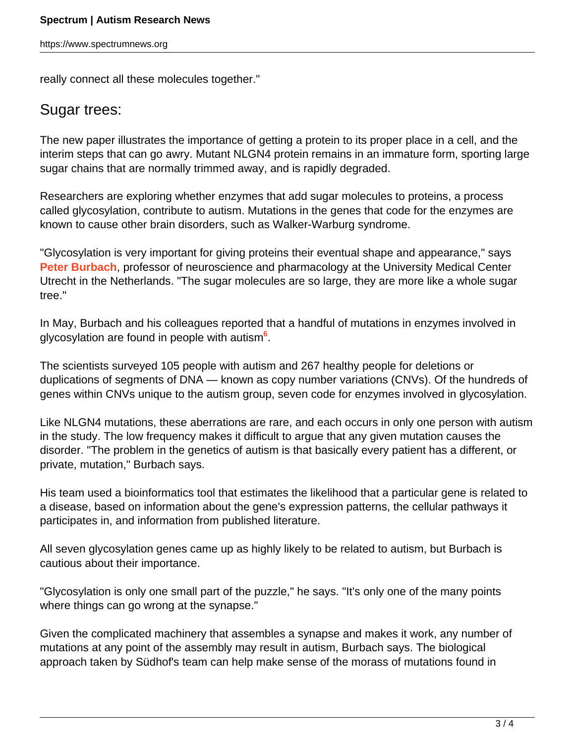really connect all these molecules together."

#### Sugar trees:

The new paper illustrates the importance of getting a protein to its proper place in a cell, and the interim steps that can go awry. Mutant NLGN4 protein remains in an immature form, sporting large sugar chains that are normally trimmed away, and is rapidly degraded.

Researchers are exploring whether enzymes that add sugar molecules to proteins, a process called glycosylation, contribute to autism. Mutations in the genes that code for the enzymes are known to cause other brain disorders, such as Walker-Warburg syndrome.

"Glycosylation is very important for giving proteins their eventual shape and appearance," says **[Peter Burbach](http://translationalneuroscience.nl/Research/Molecular-Neurobiology/Peter-Burbach)**, professor of neuroscience and pharmacology at the University Medical Center Utrecht in the Netherlands. "The sugar molecules are so large, they are more like a whole sugar tree."

In May, Burbach and his colleagues reported that a handful of mutations in enzymes involved in glycosylation are found in people with autism**<sup>6</sup>** .

The scientists surveyed 105 people with autism and 267 healthy people for deletions or duplications of segments of DNA — known as copy number variations (CNVs). Of the hundreds of genes within CNVs unique to the autism group, seven code for enzymes involved in glycosylation.

Like NLGN4 mutations, these aberrations are rare, and each occurs in only one person with autism in the study. The low frequency makes it difficult to argue that any given mutation causes the disorder. "The problem in the genetics of autism is that basically every patient has a different, or private, mutation," Burbach says.

His team used a bioinformatics tool that estimates the likelihood that a particular gene is related to a disease, based on information about the gene's expression patterns, the cellular pathways it participates in, and information from published literature.

All seven glycosylation genes came up as highly likely to be related to autism, but Burbach is cautious about their importance.

"Glycosylation is only one small part of the puzzle," he says. "It's only one of the many points where things can go wrong at the synapse."

Given the complicated machinery that assembles a synapse and makes it work, any number of mutations at any point of the assembly may result in autism, Burbach says. The biological approach taken by Südhof's team can help make sense of the morass of mutations found in